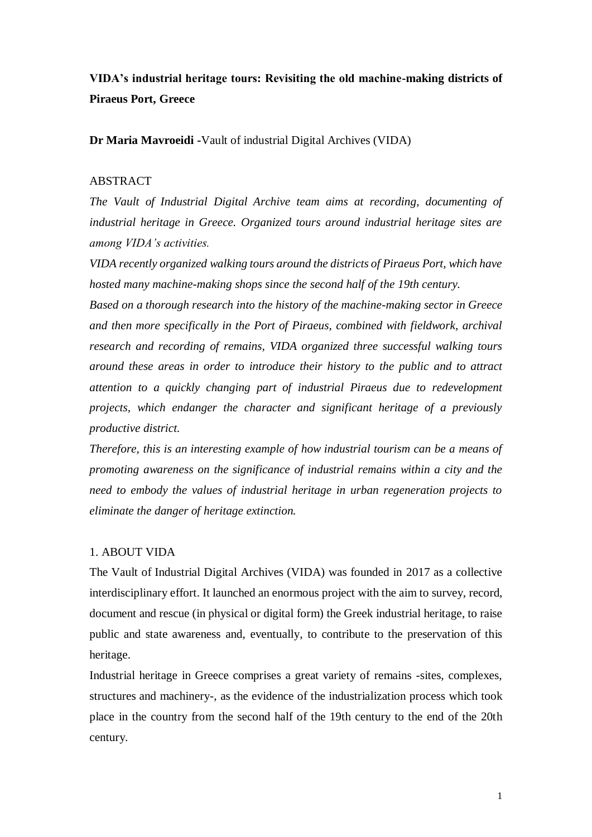# **VIDA's industrial heritage tours: Revisiting the old machine-making districts of Piraeus Port, Greece**

**Dr Maria Mavroeidi -**Vault of industrial Digital Archives (VIDA)

## **ABSTRACT**

*The Vault of Industrial Digital Archive team aims at recording, documenting of industrial heritage in Greece. Organized tours around industrial heritage sites are among VIDA's activities.*

*VIDA recently organized walking tours around the districts of Piraeus Port, which have hosted many machine-making shops since the second half of the 19th century.*

*Based on a thorough research into the history of the machine-making sector in Greece and then more specifically in the Port of Piraeus, combined with fieldwork, archival research and recording of remains, VIDA organized three successful walking tours around these areas in order to introduce their history to the public and to attract attention to a quickly changing part of industrial Piraeus due to redevelopment projects, which endanger the character and significant heritage of a previously productive district.*

*Therefore, this is an interesting example of how industrial tourism can be a means of promoting awareness on the significance of industrial remains within a city and the need to embody the values of industrial heritage in urban regeneration projects to eliminate the danger of heritage extinction.*

## 1. ABOUT VIDA

The Vault of Industrial Digital Archives (VIDA) was founded in 2017 as a collective interdisciplinary effort. It launched an enormous project with the aim to survey, record, document and rescue (in physical or digital form) the Greek industrial heritage, to raise public and state awareness and, eventually, to contribute to the preservation of this heritage.

Industrial heritage in Greece comprises a great variety of remains -sites, complexes, structures and machinery-, as the evidence of the industrialization process which took place in the country from the second half of the 19th century to the end of the 20th century.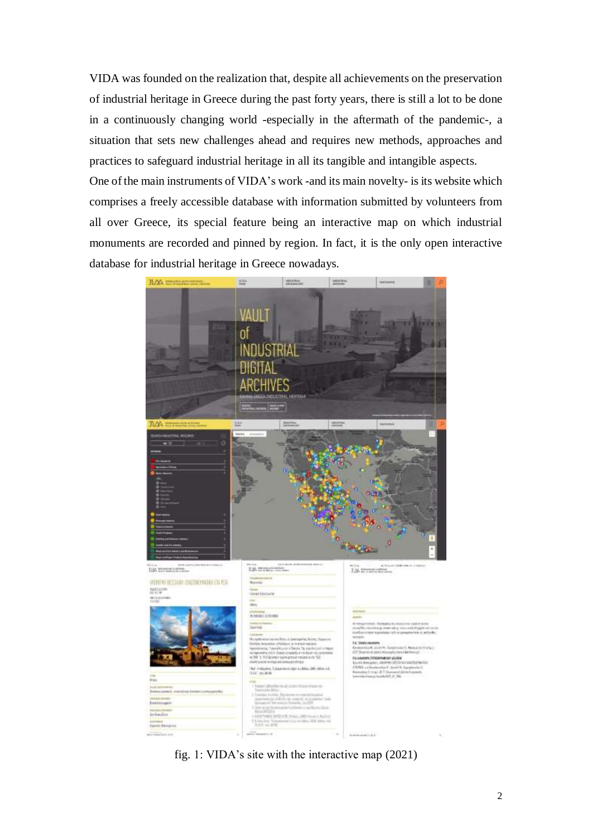VIDA was founded on the realization that, despite all achievements on the preservation of industrial heritage in Greece during the past forty years, there is still a lot to be done in a continuously changing world -especially in the aftermath of the pandemic-, a situation that sets new challenges ahead and requires new methods, approaches and practices to safeguard industrial heritage in all its tangible and intangible aspects. One of the main instruments of VIDA's work -and its main novelty- is its website which comprises a freely accessible database with information submitted by volunteers from all over Greece, its special feature being an interactive map on which industrial monuments are recorded and pinned by region. In fact, it is the only open interactive database for industrial heritage in Greece nowadays.



fig. 1: VIDA's site with the interactive map (2021)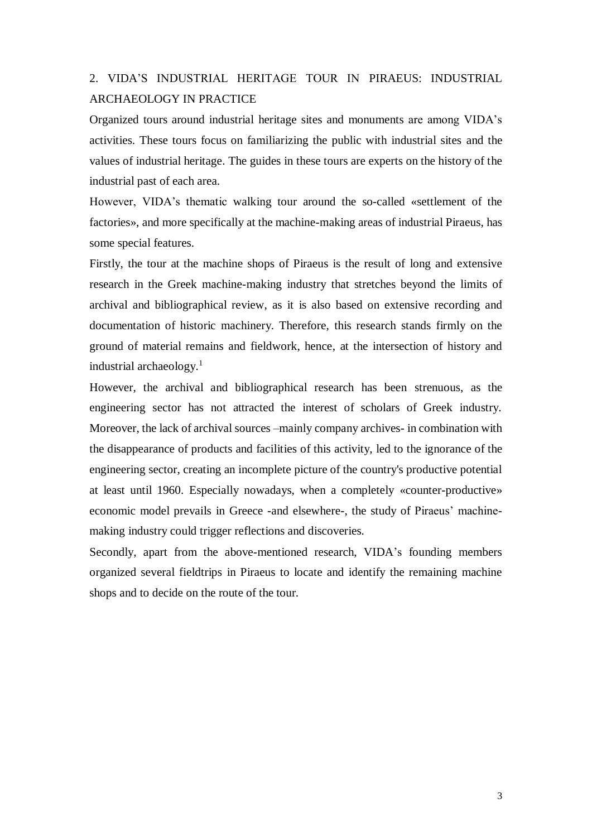# 2. VIDA'S INDUSTRIAL HERITAGE TOUR IN PIRAEUS: INDUSTRIAL ARCHAEOLOGY IN PRACTICE

Organized tours around industrial heritage sites and monuments are among VIDA's activities. These tours focus on familiarizing the public with industrial sites and the values of industrial heritage. The guides in these tours are experts on the history of the industrial past of each area.

However, VIDA's thematic walking tour around the so-called «settlement of the factories», and more specifically at the machine-making areas of industrial Piraeus, has some special features.

Firstly, the tour at the machine shops of Piraeus is the result of long and extensive research in the Greek machine-making industry that stretches beyond the limits of archival and bibliographical review, as it is also based on extensive recording and documentation of historic machinery. Therefore, this research stands firmly on the ground of material remains and fieldwork, hence, at the intersection of history and industrial archaeology. $<sup>1</sup>$ </sup>

However, the archival and bibliographical research has been strenuous, as the engineering sector has not attracted the interest of scholars of Greek industry. Moreover, the lack of archival sources –mainly company archives- in combination with the disappearance of products and facilities of this activity, led to the ignorance of the engineering sector, creating an incomplete picture of the country's productive potential at least until 1960. Especially nowadays, when a completely «counter-productive» economic model prevails in Greece -and elsewhere-, the study of Piraeus' machinemaking industry could trigger reflections and discoveries.

Secondly, apart from the above-mentioned research, VIDA's founding members organized several fieldtrips in Piraeus to locate and identify the remaining machine shops and to decide on the route of the tour.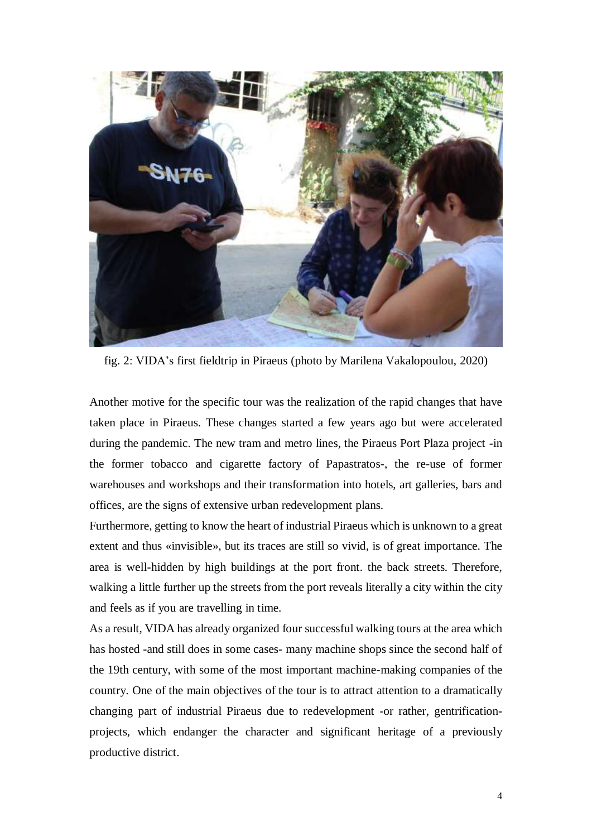

fig. 2: VIDA's first fieldtrip in Piraeus (photo by Marilena Vakalopoulou, 2020)

Another motive for the specific tour was the realization of the rapid changes that have taken place in Piraeus. These changes started a few years ago but were accelerated during the pandemic. The new tram and metro lines, the Piraeus Port Plaza project -in the former tobacco and cigarette factory of Papastratos-, the re-use of former warehouses and workshops and their transformation into hotels, art galleries, bars and offices, are the signs of extensive urban redevelopment plans.

Furthermore, getting to know the heart of industrial Piraeus which is unknown to a great extent and thus «invisible», but its traces are still so vivid, is of great importance. The area is well-hidden by high buildings at the port front. the back streets. Therefore, walking a little further up the streets from the port reveals literally a city within the city and feels as if you are travelling in time.

As a result, VIDA has already organized four successful walking tours at the area which has hosted -and still does in some cases- many machine shops since the second half of the 19th century, with some of the most important machine-making companies of the country. One of the main objectives of the tour is to attract attention to a dramatically changing part of industrial Piraeus due to redevelopment -or rather, gentrificationprojects, which endanger the character and significant heritage of a previously productive district.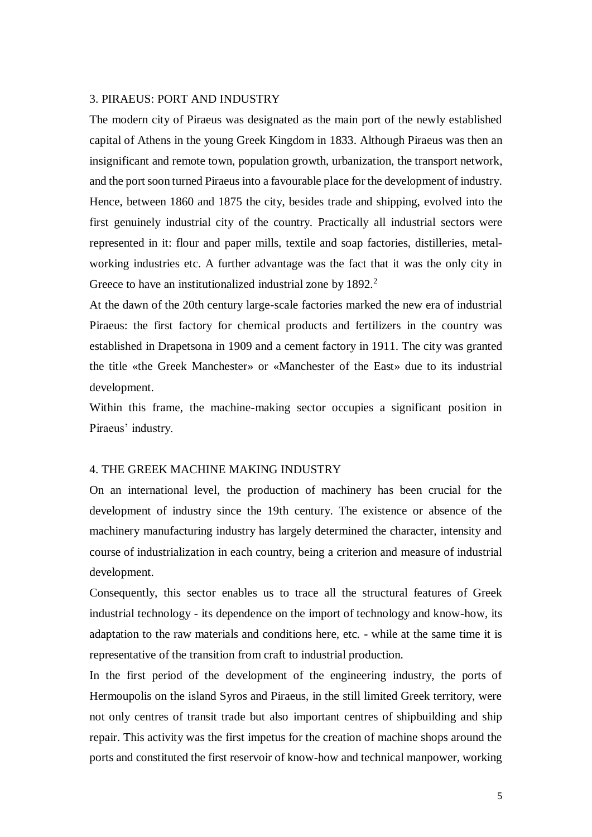### 3. PIRAEUS: PORT AND INDUSTRY

The modern city of Piraeus was designated as the main port of the newly established capital of Athens in the young Greek Kingdom in 1833. Although Piraeus was then an insignificant and remote town, population growth, urbanization, the transport network, and the port soon turned Piraeus into a favourable place for the development of industry. Hence, between 1860 and 1875 the city, besides trade and shipping, evolved into the first genuinely industrial city of the country. Practically all industrial sectors were represented in it: flour and paper mills, textile and soap factories, distilleries, metalworking industries etc. A further advantage was the fact that it was the only city in Greece to have an institutionalized industrial zone by 1892.<sup>2</sup>

At the dawn of the 20th century large-scale factories marked the new era of industrial Piraeus: the first factory for chemical products and fertilizers in the country was established in Drapetsona in 1909 and a cement factory in 1911. The city was granted the title «the Greek Manchester» or «Manchester of the East» due to its industrial development.

Within this frame, the machine-making sector occupies a significant position in Piraeus' industry.

#### 4. THE GREEK MACHINE MAKING INDUSTRY

On an international level, the production of machinery has been crucial for the development of industry since the 19th century. The existence or absence of the machinery manufacturing industry has largely determined the character, intensity and course of industrialization in each country, being a criterion and measure of industrial development.

Consequently, this sector enables us to trace all the structural features of Greek industrial technology - its dependence on the import of technology and know-how, its adaptation to the raw materials and conditions here, etc. - while at the same time it is representative of the transition from craft to industrial production.

In the first period of the development of the engineering industry, the ports of Hermoupolis on the island Syros and Piraeus, in the still limited Greek territory, were not only centres of transit trade but also important centres of shipbuilding and ship repair. This activity was the first impetus for the creation of machine shops around the ports and constituted the first reservoir of know-how and technical manpower, working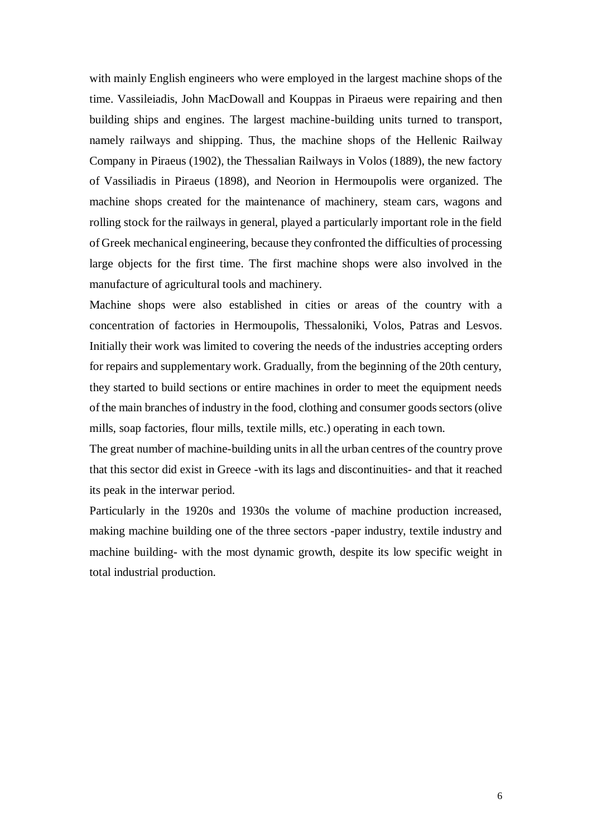with mainly English engineers who were employed in the largest machine shops of the time. Vassileiadis, John MacDowall and Kouppas in Piraeus were repairing and then building ships and engines. The largest machine-building units turned to transport, namely railways and shipping. Thus, the machine shops of the Hellenic Railway Company in Piraeus (1902), the Thessalian Railways in Volos (1889), the new factory of Vassiliadis in Piraeus (1898), and Neorion in Hermoupolis were organized. The machine shops created for the maintenance of machinery, steam cars, wagons and rolling stock for the railways in general, played a particularly important role in the field of Greek mechanical engineering, because they confronted the difficulties of processing large objects for the first time. The first machine shops were also involved in the manufacture of agricultural tools and machinery.

Machine shops were also established in cities or areas of the country with a concentration of factories in Hermoupolis, Thessaloniki, Volos, Patras and Lesvos. Initially their work was limited to covering the needs of the industries accepting orders for repairs and supplementary work. Gradually, from the beginning of the 20th century, they started to build sections or entire machines in order to meet the equipment needs of the main branches of industry in the food, clothing and consumer goods sectors (olive mills, soap factories, flour mills, textile mills, etc.) operating in each town.

The great number of machine-building units in all the urban centres of the country prove that this sector did exist in Greece -with its lags and discontinuities- and that it reached its peak in the interwar period.

Particularly in the 1920s and 1930s the volume of machine production increased, making machine building one of the three sectors -paper industry, textile industry and machine building- with the most dynamic growth, despite its low specific weight in total industrial production.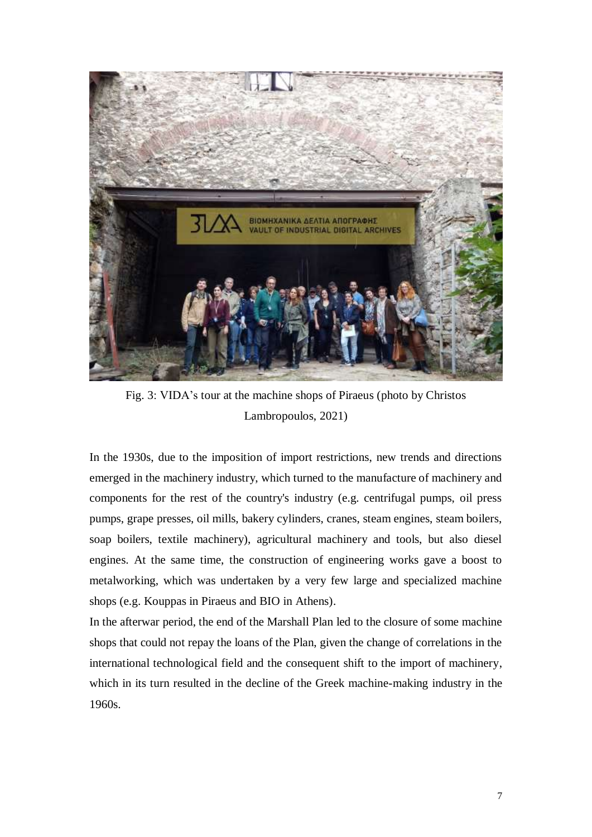

Fig. 3: VIDA's tour at the machine shops of Piraeus (photo by Christos Lambropoulos, 2021)

In the 1930s, due to the imposition of import restrictions, new trends and directions emerged in the machinery industry, which turned to the manufacture of machinery and components for the rest of the country's industry (e.g. centrifugal pumps, oil press pumps, grape presses, oil mills, bakery cylinders, cranes, steam engines, steam boilers, soap boilers, textile machinery), agricultural machinery and tools, but also diesel engines. At the same time, the construction of engineering works gave a boost to metalworking, which was undertaken by a very few large and specialized machine shops (e.g. Kouppas in Piraeus and BIO in Athens).

In the afterwar period, the end of the Marshall Plan led to the closure of some machine shops that could not repay the loans of the Plan, given the change of correlations in the international technological field and the consequent shift to the import of machinery, which in its turn resulted in the decline of the Greek machine-making industry in the 1960s.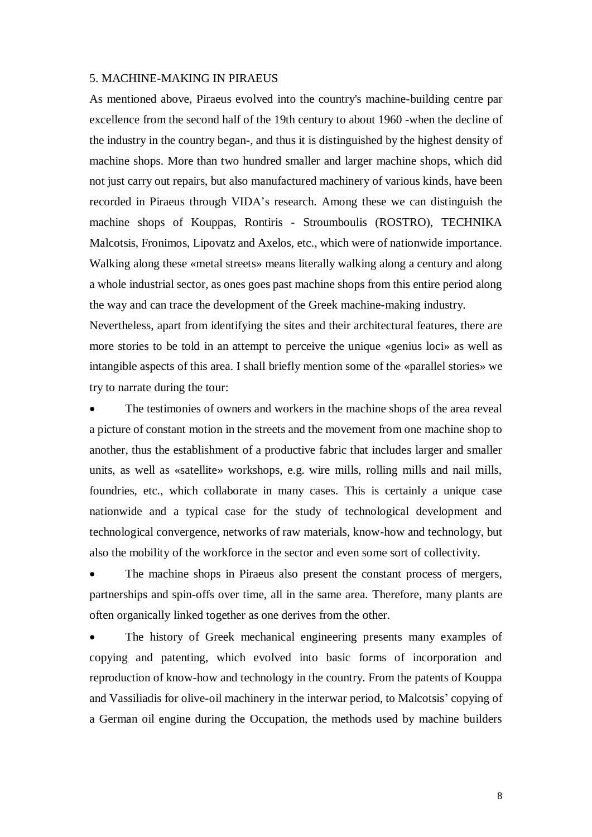#### 5. MACHINE-MAKING IN PIRAEUS

As mentioned above, Piraeus evolved into the country's machine-building centre par excellence from the second half of the 19th century to about 1960 -when the decline of the industry in the country began-, and thus it is distinguished by the highest density of machine shops. More than two hundred smaller and larger machine shops, which did not just carry out repairs, but also manufactured machinery of various kinds, have been recorded in Piraeus through VIDA's research. Among these we can distinguish the machine shops of Kouppas, Rontiris - Stroumboulis (ROSTRO), TECHNIKA Malcotsis, Fronimos, Lipovatz and Axelos, etc., which were of nationwide importance. Walking along these «metal streets» means literally walking along a century and along a whole industrial sector, as ones goes past machine shops from this entire period along the way and can trace the development of the Greek machine-making industry.

Nevertheless, apart from identifying the sites and their architectural features, there are more stories to be told in an attempt to perceive the unique «genius loci» as well as intangible aspects of this area. I shall briefly mention some of the «parallel stories» we try to narrate during the tour:

 The testimonies of owners and workers in the machine shops of the area reveal a picture of constant motion in the streets and the movement from one machine shop to another, thus the establishment of a productive fabric that includes larger and smaller units, as well as «satellite» workshops, e.g. wire mills, rolling mills and nail mills, foundries, etc., which collaborate in many cases. This is certainly a unique case nationwide and a typical case for the study of technological development and technological convergence, networks of raw materials, know-how and technology, but also the mobility of the workforce in the sector and even some sort of collectivity.

 The machine shops in Piraeus also present the constant process of mergers, partnerships and spin-offs over time, all in the same area. Therefore, many plants are often organically linked together as one derives from the other.

 The history of Greek mechanical engineering presents many examples of copying and patenting, which evolved into basic forms of incorporation and reproduction of know-how and technology in the country. From the patents of Kouppa and Vassiliadis for olive-oil machinery in the interwar period, to Malcotsis' copying of a German oil engine during the Occupation, the methods used by machine builders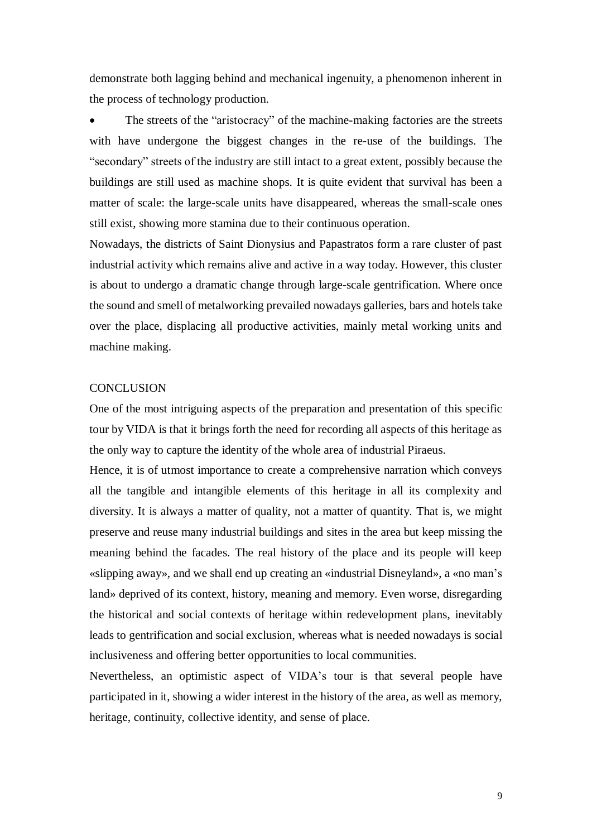demonstrate both lagging behind and mechanical ingenuity, a phenomenon inherent in the process of technology production.

 The streets of the "aristocracy" of the machine-making factories are the streets with have undergone the biggest changes in the re-use of the buildings. The "secondary" streets of the industry are still intact to a great extent, possibly because the buildings are still used as machine shops. It is quite evident that survival has been a matter of scale: the large-scale units have disappeared, whereas the small-scale ones still exist, showing more stamina due to their continuous operation.

Nowadays, the districts of Saint Dionysius and Papastratos form a rare cluster of past industrial activity which remains alive and active in a way today. However, this cluster is about to undergo a dramatic change through large-scale gentrification. Where once the sound and smell of metalworking prevailed nowadays galleries, bars and hotels take over the place, displacing all productive activities, mainly metal working units and machine making.

### **CONCLUSION**

One of the most intriguing aspects of the preparation and presentation of this specific tour by VIDA is that it brings forth the need for recording all aspects of this heritage as the only way to capture the identity of the whole area of industrial Piraeus.

Hence, it is of utmost importance to create a comprehensive narration which conveys all the tangible and intangible elements of this heritage in all its complexity and diversity. It is always a matter of quality, not a matter of quantity. That is, we might preserve and reuse many industrial buildings and sites in the area but keep missing the meaning behind the facades. The real history of the place and its people will keep «slipping away», and we shall end up creating an «industrial Disneyland», a «no man's land» deprived of its context, history, meaning and memory. Even worse, disregarding the historical and social contexts of heritage within redevelopment plans, inevitably leads to gentrification and social exclusion, whereas what is needed nowadays is social inclusiveness and offering better opportunities to local communities.

Nevertheless, an optimistic aspect of VIDA's tour is that several people have participated in it, showing a wider interest in the history of the area, as well as memory, heritage, continuity, collective identity, and sense of place.